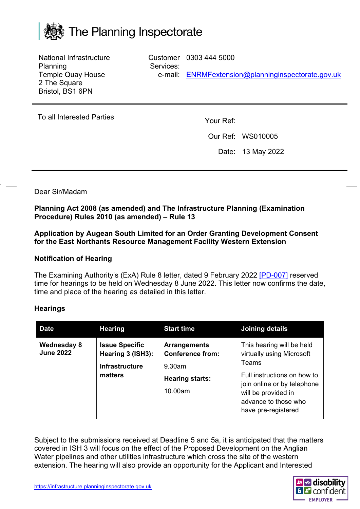

National Infrastructure Planning Temple Quay House 2 The Square Bristol, BS1 6PN

Customer 0303 444 5000 Services: e-mail: <u>[ENRMFextension@planninginspectorate.gov.uk](mailto:ENRMFextension@planninginspectorate.gov.uk)</u>

To all Interested Parties To all Interested Parties

Our Ref: WS010005

Date: 13 May 2022

Dear Sir/Madam

**Planning Act 2008 (as amended) and The Infrastructure Planning (Examination Procedure) Rules 2010 (as amended) – Rule 13**

**Application by Augean South Limited for an Order Granting Development Consent for the East Northants Resource Management Facility Western Extension**

## **Notification of Hearing**

The Examining Authority's (ExA) Rule 8 letter, dated 9 February 2022 [\[PD-007\]](https://infrastructure.planninginspectorate.gov.uk/wp-content/ipc/uploads/projects/WS010005/WS010005-000434-ENRMWFE%20Rule%208%20Letter.pdf) reserved time for hearings to be held on Wednesday 8 June 2022. This letter now confirms the date, time and place of the hearing as detailed in this letter.

## **Hearings**

| <b>Date</b>                            | <b>Hearing</b>                                                                 | <b>Start time</b>                                                                                | <b>Joining details</b>                                                                                                                                                                              |
|----------------------------------------|--------------------------------------------------------------------------------|--------------------------------------------------------------------------------------------------|-----------------------------------------------------------------------------------------------------------------------------------------------------------------------------------------------------|
| <b>Wednesday 8</b><br><b>June 2022</b> | <b>Issue Specific</b><br>Hearing 3 (ISH3):<br><b>Infrastructure</b><br>matters | <b>Arrangements</b><br><b>Conference from:</b><br>$9.30$ am<br><b>Hearing starts:</b><br>10.00am | This hearing will be held<br>virtually using Microsoft<br>Teams<br>Full instructions on how to<br>join online or by telephone<br>will be provided in<br>advance to those who<br>have pre-registered |

Subject to the submissions received at Deadline 5 and 5a, it is anticipated that the matters covered in ISH 3 will focus on the effect of the Proposed Development on the Anglian Water pipelines and other utilities infrastructure which cross the site of the western extension. The hearing will also provide an opportunity for the Applicant and Interested